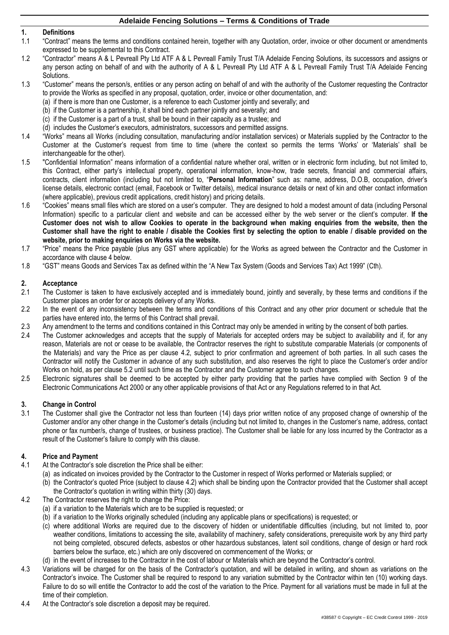## **1. Definitions**

- 1.1 "Contract" means the terms and conditions contained herein, together with any Quotation, order, invoice or other document or amendments expressed to be supplemental to this Contract.
- 1.2 "Contractor" means A & L Pevreall Pty Ltd ATF A & L Pevreall Family Trust T/A Adelaide Fencing Solutions, its successors and assigns or any person acting on behalf of and with the authority of A & L Pevreall Pty Ltd ATF A & L Pevreall Family Trust T/A Adelaide Fencing Solutions.
- 1.3 "Customer" means the person/s, entities or any person acting on behalf of and with the authority of the Customer requesting the Contractor to provide the Works as specified in any proposal, quotation, order, invoice or other documentation, and:
	- (a) if there is more than one Customer, is a reference to each Customer jointly and severally; and
	- (b) if the Customer is a partnership, it shall bind each partner jointly and severally; and
	- (c) if the Customer is a part of a trust, shall be bound in their capacity as a trustee; and
	- (d) includes the Customer's executors, administrators, successors and permitted assigns.
- 1.4 "Works" means all Works (including consultation, manufacturing and/or installation services) or Materials supplied by the Contractor to the Customer at the Customer's request from time to time (where the context so permits the terms 'Works' or 'Materials' shall be interchangeable for the other).
- 1.5 "Confidential Information" means information of a confidential nature whether oral, written or in electronic form including, but not limited to, this Contract, either party's intellectual property, operational information, know-how, trade secrets, financial and commercial affairs, contracts, client information (including but not limited to, "**Personal Information**" such as: name, address, D.O.B, occupation, driver's license details, electronic contact (email, Facebook or Twitter details), medical insurance details or next of kin and other contact information (where applicable), previous credit applications, credit history) and pricing details.
- 1.6 "Cookies" means small files which are stored on a user's computer. They are designed to hold a modest amount of data (including Personal Information) specific to a particular client and website and can be accessed either by the web server or the client's computer. **If the Customer does not wish to allow Cookies to operate in the background when making enquiries from the website, then the Customer shall have the right to enable / disable the Cookies first by selecting the option to enable / disable provided on the website, prior to making enquiries on Works via the website.**
- 1.7 "Price" means the Price payable (plus any GST where applicable) for the Works as agreed between the Contractor and the Customer in accordance with clause [4](#page-0-0) below.
- 1.8 "GST" means Goods and Services Tax as defined within the "A New Tax System (Goods and Services Tax) Act 1999" (Cth).

### **2. Acceptance**

- 2.1 The Customer is taken to have exclusively accepted and is immediately bound, jointly and severally, by these terms and conditions if the Customer places an order for or accepts delivery of any Works.
- 2.2 In the event of any inconsistency between the terms and conditions of this Contract and any other prior document or schedule that the parties have entered into, the terms of this Contract shall prevail.
- 2.3 Any amendment to the terms and conditions contained in this Contract may only be amended in writing by the consent of both parties.
- 2.4 The Customer acknowledges and accepts that the supply of Materials for accepted orders may be subject to availability and if, for any reason, Materials are not or cease to be available, the Contractor reserves the right to substitute comparable Materials (or components of the Materials) and vary the Price as per clause [4.2,](#page-0-1) subject to prior confirmation and agreement of both parties. In all such cases the Contractor will notify the Customer in advance of any such substitution, and also reserves the right to place the Customer's order and/or Works on hold, as per clause [5.2](#page-1-0) until such time as the Contractor and the Customer agree to such changes.
- 2.5 Electronic signatures shall be deemed to be accepted by either party providing that the parties have complied with Section 9 of the Electronic Communications Act 2000 or any other applicable provisions of that Act or any Regulations referred to in that Act.

# **3. Change in Control**

The Customer shall give the Contractor not less than fourteen (14) days prior written notice of any proposed change of ownership of the Customer and/or any other change in the Customer's details (including but not limited to, changes in the Customer's name, address, contact phone or fax number/s, change of trustees, or business practice). The Customer shall be liable for any loss incurred by the Contractor as a result of the Customer's failure to comply with this clause.

### <span id="page-0-0"></span>**4. Price and Payment**

- 4.1 At the Contractor's sole discretion the Price shall be either:
	- (a) as indicated on invoices provided by the Contractor to the Customer in respect of Works performed or Materials supplied; or
	- (b) the Contractor's quoted Price (subject to clause [4.2\)](#page-0-1) which shall be binding upon the Contractor provided that the Customer shall accept the Contractor's quotation in writing within thirty (30) days.
- <span id="page-0-1"></span>4.2 The Contractor reserves the right to change the Price:
	- (a) if a variation to the Materials which are to be supplied is requested; or
	- (b) if a variation to the Works originally scheduled (including any applicable plans or specifications) is requested; or
	- (c) where additional Works are required due to the discovery of hidden or unidentifiable difficulties (including, but not limited to, poor weather conditions, limitations to accessing the site, availability of machinery, safety considerations, prerequisite work by any third party not being completed, obscured defects, asbestos or other hazardous substances, latent soil conditions, change of design or hard rock barriers below the surface, etc.) which are only discovered on commencement of the Works; or
	- (d) in the event of increases to the Contractor in the cost of labour or Materials which are beyond the Contractor's control.
- 4.3 Variations will be charged for on the basis of the Contractor's quotation, and will be detailed in writing, and shown as variations on the Contractor's invoice. The Customer shall be required to respond to any variation submitted by the Contractor within ten (10) working days. Failure to do so will entitle the Contractor to add the cost of the variation to the Price. Payment for all variations must be made in full at the time of their completion.
- 4.4 At the Contractor's sole discretion a deposit may be required.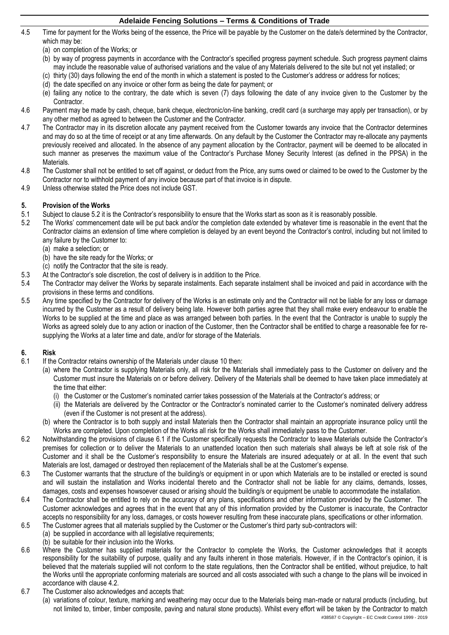- 4.5 Time for payment for the Works being of the essence, the Price will be payable by the Customer on the date/s determined by the Contractor, which may be:
	- (a) on completion of the Works; or
	- (b) by way of progress payments in accordance with the Contractor's specified progress payment schedule. Such progress payment claims may include the reasonable value of authorised variations and the value of any Materials delivered to the site but not yet installed; or
	- (c) thirty (30) days following the end of the month in which a statement is posted to the Customer's address or address for notices;
	- (d) the date specified on any invoice or other form as being the date for payment; or
	- (e) failing any notice to the contrary, the date which is seven (7) days following the date of any invoice given to the Customer by the Contractor.
- 4.6 Payment may be made by cash, cheque, bank cheque, electronic/on-line banking, credit card (a surcharge may apply per transaction), or by any other method as agreed to between the Customer and the Contractor.
- 4.7 The Contractor may in its discretion allocate any payment received from the Customer towards any invoice that the Contractor determines and may do so at the time of receipt or at any time afterwards. On any default by the Customer the Contractor may re-allocate any payments previously received and allocated. In the absence of any payment allocation by the Contractor, payment will be deemed to be allocated in such manner as preserves the maximum value of the Contractor's Purchase Money Security Interest (as defined in the PPSA) in the Materials.
- 4.8 The Customer shall not be entitled to set off against, or deduct from the Price, any sums owed or claimed to be owed to the Customer by the Contractor nor to withhold payment of any invoice because part of that invoice is in dispute.
- 4.9 Unless otherwise stated the Price does not include GST.

# **5. Provision of the Works**

- Subject to claus[e 5.2](#page-1-0) it is the Contractor's responsibility to ensure that the Works start as soon as it is reasonably possible.
- <span id="page-1-0"></span>5.2 The Works' commencement date will be put back and/or the completion date extended by whatever time is reasonable in the event that the Contractor claims an extension of time where completion is delayed by an event beyond the Contractor's control, including but not limited to any failure by the Customer to:
	- (a) make a selection; or
	- (b) have the site ready for the Works; or
	- (c) notify the Contractor that the site is ready.
- 5.3 At the Contractor's sole discretion, the cost of delivery is in addition to the Price.
- 5.4 The Contractor may deliver the Works by separate instalments. Each separate instalment shall be invoiced and paid in accordance with the provisions in these terms and conditions.
- 5.5 Any time specified by the Contractor for delivery of the Works is an estimate only and the Contractor will not be liable for any loss or damage incurred by the Customer as a result of delivery being late. However both parties agree that they shall make every endeavour to enable the Works to be supplied at the time and place as was arranged between both parties. In the event that the Contractor is unable to supply the Works as agreed solely due to any action or inaction of the Customer, then the Contractor shall be entitled to charge a reasonable fee for resupplying the Works at a later time and date, and/or for storage of the Materials.

### **6. Risk**

- <span id="page-1-1"></span>6.1 If the Contractor retains ownership of the Materials under clause [10](#page-2-0) then:
	- (a) where the Contractor is supplying Materials only, all risk for the Materials shall immediately pass to the Customer on delivery and the Customer must insure the Materials on or before delivery. Delivery of the Materials shall be deemed to have taken place immediately at the time that either:
		- (i) the Customer or the Customer's nominated carrier takes possession of the Materials at the Contractor's address; or
		- (ii) the Materials are delivered by the Contractor or the Contractor's nominated carrier to the Customer's nominated delivery address (even if the Customer is not present at the address).
	- (b) where the Contractor is to both supply and install Materials then the Contractor shall maintain an appropriate insurance policy until the Works are completed. Upon completion of the Works all risk for the Works shall immediately pass to the Customer.
- 6.2 Notwithstanding the provisions of clause [6.1](#page-1-1) if the Customer specifically requests the Contractor to leave Materials outside the Contractor's premises for collection or to deliver the Materials to an unattended location then such materials shall always be left at sole risk of the Customer and it shall be the Customer's responsibility to ensure the Materials are insured adequately or at all. In the event that such Materials are lost, damaged or destroyed then replacement of the Materials shall be at the Customer's expense.
- 6.3 The Customer warrants that the structure of the building/s or equipment in or upon which Materials are to be installed or erected is sound and will sustain the installation and Works incidental thereto and the Contractor shall not be liable for any claims, demands, losses, damages, costs and expenses howsoever caused or arising should the building/s or equipment be unable to accommodate the installation.
- 6.4 The Contractor shall be entitled to rely on the accuracy of any plans, specifications and other information provided by the Customer. The Customer acknowledges and agrees that in the event that any of this information provided by the Customer is inaccurate, the Contractor accepts no responsibility for any loss, damages, or costs however resulting from these inaccurate plans, specifications or other information.
- 6.5 The Customer agrees that all materials supplied by the Customer or the Customer's third party sub-contractors will:
	- (a) be supplied in accordance with all legislative requirements;
- (b) be suitable for their inclusion into the Works.
- 6.6 Where the Customer has supplied materials for the Contractor to complete the Works, the Customer acknowledges that it accepts responsibility for the suitability of purpose, quality and any faults inherent in those materials. However, if in the Contractor's opinion, it is believed that the materials supplied will not conform to the state regulations, then the Contractor shall be entitled, without prejudice, to halt the Works until the appropriate conforming materials are sourced and all costs associated with such a change to the plans will be invoiced in accordance with clause [4.2.](#page-0-1)
- 6.7 The Customer also acknowledges and accepts that:
	- (a) variations of colour, texture, marking and weathering may occur due to the Materials being man-made or natural products (including, but not limited to, timber, timber composite, paving and natural stone products). Whilst every effort will be taken by the Contractor to match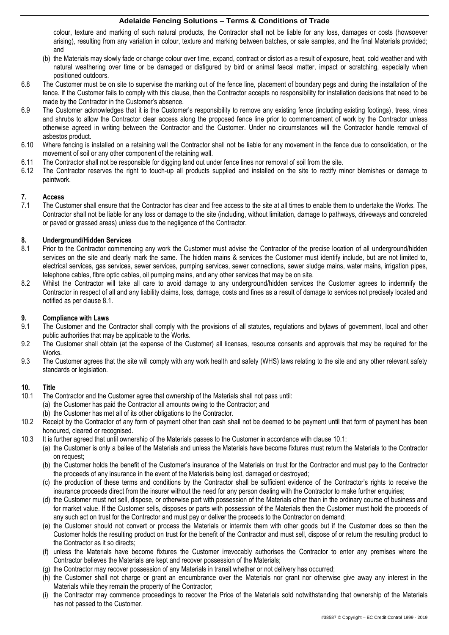colour, texture and marking of such natural products, the Contractor shall not be liable for any loss, damages or costs (howsoever arising), resulting from any variation in colour, texture and marking between batches, or sale samples, and the final Materials provided; and

- (b) the Materials may slowly fade or change colour over time, expand, contract or distort as a result of exposure, heat, cold weather and with natural weathering over time or be damaged or disfigured by bird or animal faecal matter, impact or scratching, especially when positioned outdoors.
- 6.8 The Customer must be on site to supervise the marking out of the fence line, placement of boundary pegs and during the installation of the fence. If the Customer fails to comply with this clause, then the Contractor accepts no responsibility for installation decisions that need to be made by the Contractor in the Customer's absence.
- 6.9 The Customer acknowledges that it is the Customer's responsibility to remove any existing fence (including existing footings), trees, vines and shrubs to allow the Contractor clear access along the proposed fence line prior to commencement of work by the Contractor unless otherwise agreed in writing between the Contractor and the Customer. Under no circumstances will the Contractor handle removal of asbestos product.
- 6.10 Where fencing is installed on a retaining wall the Contractor shall not be liable for any movement in the fence due to consolidation, or the movement of soil or any other component of the retaining wall.
- 6.11 The Contractor shall not be responsible for digging land out under fence lines nor removal of soil from the site.
- 6.12 The Contractor reserves the right to touch-up all products supplied and installed on the site to rectify minor blemishes or damage to paintwork.

# **7. Access**

The Customer shall ensure that the Contractor has clear and free access to the site at all times to enable them to undertake the Works. The Contractor shall not be liable for any loss or damage to the site (including, without limitation, damage to pathways, driveways and concreted or paved or grassed areas) unless due to the negligence of the Contractor.

### **8. Underground/Hidden Services**

- <span id="page-2-1"></span>8.1 Prior to the Contractor commencing any work the Customer must advise the Contractor of the precise location of all underground/hidden services on the site and clearly mark the same. The hidden mains & services the Customer must identify include, but are not limited to, electrical services, gas services, sewer services, pumping services, sewer connections, sewer sludge mains, water mains, irrigation pipes, telephone cables, fibre optic cables, oil pumping mains, and any other services that may be on site.
- 8.2 Whilst the Contractor will take all care to avoid damage to any underground/hidden services the Customer agrees to indemnify the Contractor in respect of all and any liability claims, loss, damage, costs and fines as a result of damage to services not precisely located and notified as per clause [8.1.](#page-2-1)

# **9. Compliance with Laws**<br>**9.1** The Customer and the 0

- The Customer and the Contractor shall comply with the provisions of all statutes, regulations and bylaws of government, local and other public authorities that may be applicable to the Works.
- 9.2 The Customer shall obtain (at the expense of the Customer) all licenses, resource consents and approvals that may be required for the Works.
- 9.3 The Customer agrees that the site will comply with any work health and safety (WHS) laws relating to the site and any other relevant safety standards or legislation.

### <span id="page-2-0"></span>**10. Title**

- <span id="page-2-2"></span>10.1 The Contractor and the Customer agree that ownership of the Materials shall not pass until: (a) the Customer has paid the Contractor all amounts owing to the Contractor; and
	- (b) the Customer has met all of its other obligations to the Contractor.
- 10.2 Receipt by the Contractor of any form of payment other than cash shall not be deemed to be payment until that form of payment has been honoured, cleared or recognised.
- 10.3 It is further agreed that until ownership of the Materials passes to the Customer in accordance with clause [10.1:](#page-2-2)
	- (a) the Customer is only a bailee of the Materials and unless the Materials have become fixtures must return the Materials to the Contractor on request;
	- (b) the Customer holds the benefit of the Customer's insurance of the Materials on trust for the Contractor and must pay to the Contractor the proceeds of any insurance in the event of the Materials being lost, damaged or destroyed;
	- (c) the production of these terms and conditions by the Contractor shall be sufficient evidence of the Contractor's rights to receive the insurance proceeds direct from the insurer without the need for any person dealing with the Contractor to make further enquiries;
	- (d) the Customer must not sell, dispose, or otherwise part with possession of the Materials other than in the ordinary course of business and for market value. If the Customer sells, disposes or parts with possession of the Materials then the Customer must hold the proceeds of any such act on trust for the Contractor and must pay or deliver the proceeds to the Contractor on demand;
	- (e) the Customer should not convert or process the Materials or intermix them with other goods but if the Customer does so then the Customer holds the resulting product on trust for the benefit of the Contractor and must sell, dispose of or return the resulting product to the Contractor as it so directs;
	- (f) unless the Materials have become fixtures the Customer irrevocably authorises the Contractor to enter any premises where the Contractor believes the Materials are kept and recover possession of the Materials;
	- (g) the Contractor may recover possession of any Materials in transit whether or not delivery has occurred;
	- (h) the Customer shall not charge or grant an encumbrance over the Materials nor grant nor otherwise give away any interest in the Materials while they remain the property of the Contractor;
	- (i) the Contractor may commence proceedings to recover the Price of the Materials sold notwithstanding that ownership of the Materials has not passed to the Customer.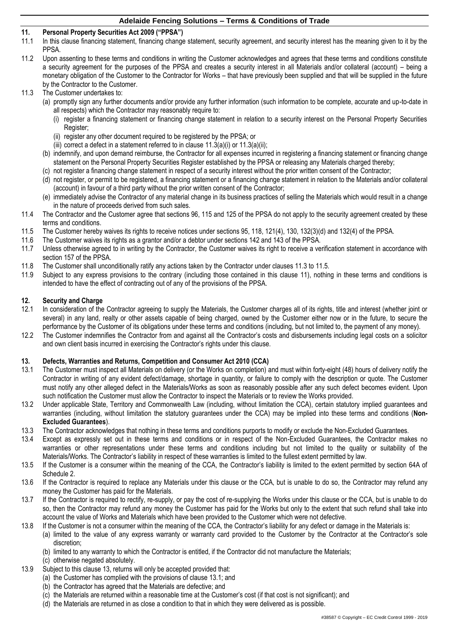# <span id="page-3-4"></span>**11. Personal Property Securities Act 2009 ("PPSA")**

- In this clause financing statement, financing change statement, security agreement, and security interest has the meaning given to it by the PPSA.
- 11.2 Upon assenting to these terms and conditions in writing the Customer acknowledges and agrees that these terms and conditions constitute a security agreement for the purposes of the PPSA and creates a security interest in all Materials and/or collateral (account) – being a monetary obligation of the Customer to the Contractor for Works – that have previously been supplied and that will be supplied in the future by the Contractor to the Customer.
- <span id="page-3-2"></span><span id="page-3-1"></span><span id="page-3-0"></span>11.3 The Customer undertakes to:
	- (a) promptly sign any further documents and/or provide any further information (such information to be complete, accurate and up-to-date in all respects) which the Contractor may reasonably require to:
		- (i) register a financing statement or financing change statement in relation to a security interest on the Personal Property Securities Register;
		- (ii) register any other document required to be registered by the PPSA; or
		- (iii) correct a defect in a statement referred to in clause  $11.3(a)(i)$  or  $11.3(a)(ii)$ ;
	- (b) indemnify, and upon demand reimburse, the Contractor for all expenses incurred in registering a financing statement or financing change statement on the Personal Property Securities Register established by the PPSA or releasing any Materials charged thereby;
	- (c) not register a financing change statement in respect of a security interest without the prior written consent of the Contractor;
	- (d) not register, or permit to be registered, a financing statement or a financing change statement in relation to the Materials and/or collateral (account) in favour of a third party without the prior written consent of the Contractor;
	- (e) immediately advise the Contractor of any material change in its business practices of selling the Materials which would result in a change in the nature of proceeds derived from such sales.
- 11.4 The Contractor and the Customer agree that sections 96, 115 and 125 of the PPSA do not apply to the security agreement created by these terms and conditions.
- <span id="page-3-3"></span>11.5 The Customer hereby waives its rights to receive notices under sections 95, 118, 121(4), 130, 132(3)(d) and 132(4) of the PPSA.<br>11.6 The Customer waives its rights as a grantor and/or a debtor under sections 142 and 1
- The Customer waives its rights as a grantor and/or a debtor under sections 142 and 143 of the PPSA.
- 11.7 Unless otherwise agreed to in writing by the Contractor, the Customer waives its right to receive a verification statement in accordance with section 157 of the PPSA.
- 11.8 The Customer shall unconditionally ratify any actions taken by the Contractor under clauses [11.3](#page-3-2) t[o 11.5.](#page-3-3)
- 11.9 Subject to any express provisions to the contrary (including those contained in this clause [11\)](#page-3-4), nothing in these terms and conditions is intended to have the effect of contracting out of any of the provisions of the PPSA.

# **12. Security and Charge**

- In consideration of the Contractor agreeing to supply the Materials, the Customer charges all of its rights, title and interest (whether joint or several) in any land, realty or other assets capable of being charged, owned by the Customer either now or in the future, to secure the performance by the Customer of its obligations under these terms and conditions (including, but not limited to, the payment of any money).
- 12.2 The Customer indemnifies the Contractor from and against all the Contractor's costs and disbursements including legal costs on a solicitor and own client basis incurred in exercising the Contractor's rights under this clause.

### <span id="page-3-5"></span>**13. Defects, Warranties and Returns, Competition and Consumer Act 2010 (CCA)**

- <span id="page-3-6"></span>13.1 The Customer must inspect all Materials on delivery (or the Works on completion) and must within forty-eight (48) hours of delivery notify the Contractor in writing of any evident defect/damage, shortage in quantity, or failure to comply with the description or quote. The Customer must notify any other alleged defect in the Materials/Works as soon as reasonably possible after any such defect becomes evident. Upon such notification the Customer must allow the Contractor to inspect the Materials or to review the Works provided.
- 13.2 Under applicable State, Territory and Commonwealth Law (including, without limitation the CCA), certain statutory implied guarantees and warranties (including, without limitation the statutory guarantees under the CCA) may be implied into these terms and conditions (**Non-Excluded Guarantees**).
- 13.3 The Contractor acknowledges that nothing in these terms and conditions purports to modify or exclude the Non-Excluded Guarantees.
- 13.4 Except as expressly set out in these terms and conditions or in respect of the Non-Excluded Guarantees, the Contractor makes no warranties or other representations under these terms and conditions including but not limited to the quality or suitability of the Materials/Works. The Contractor's liability in respect of these warranties is limited to the fullest extent permitted by law.
- 13.5 If the Customer is a consumer within the meaning of the CCA, the Contractor's liability is limited to the extent permitted by section 64A of Schedule 2.
- 13.6 If the Contractor is required to replace any Materials under this clause or the CCA, but is unable to do so, the Contractor may refund any money the Customer has paid for the Materials.
- 13.7 If the Contractor is required to rectify, re-supply, or pay the cost of re-supplying the Works under this clause or the CCA, but is unable to do so, then the Contractor may refund any money the Customer has paid for the Works but only to the extent that such refund shall take into account the value of Works and Materials which have been provided to the Customer which were not defective.
- 13.8 If the Customer is not a consumer within the meaning of the CCA, the Contractor's liability for any defect or damage in the Materials is:
	- (a) limited to the value of any express warranty or warranty card provided to the Customer by the Contractor at the Contractor's sole discretion;
		- (b) limited to any warranty to which the Contractor is entitled, if the Contractor did not manufacture the Materials;
		- (c) otherwise negated absolutely.
- <span id="page-3-7"></span>13.9 Subject to this clause [13,](#page-3-5) returns will only be accepted provided that:
	- (a) the Customer has complied with the provisions of clause [13.1;](#page-3-6) and
		- (b) the Contractor has agreed that the Materials are defective; and
		- (c) the Materials are returned within a reasonable time at the Customer's cost (if that cost is not significant); and
		- (d) the Materials are returned in as close a condition to that in which they were delivered as is possible.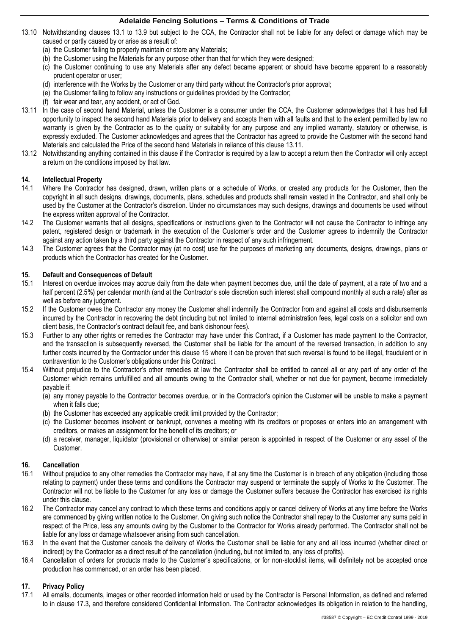- 13.10 Notwithstanding clauses [13.1](#page-3-6) to [13.9](#page-3-7) but subject to the CCA, the Contractor shall not be liable for any defect or damage which may be caused or partly caused by or arise as a result of:
	- (a) the Customer failing to properly maintain or store any Materials;
	- (b) the Customer using the Materials for any purpose other than that for which they were designed;
	- (c) the Customer continuing to use any Materials after any defect became apparent or should have become apparent to a reasonably prudent operator or user;
	- (d) interference with the Works by the Customer or any third party without the Contractor's prior approval;
	- (e) the Customer failing to follow any instructions or guidelines provided by the Contractor;
	- (f) fair wear and tear, any accident, or act of God.
- <span id="page-4-0"></span>13.11 In the case of second hand Material, unless the Customer is a consumer under the CCA, the Customer acknowledges that it has had full opportunity to inspect the second hand Materials prior to delivery and accepts them with all faults and that to the extent permitted by law no warranty is given by the Contractor as to the quality or suitability for any purpose and any implied warranty, statutory or otherwise, is expressly excluded. The Customer acknowledges and agrees that the Contractor has agreed to provide the Customer with the second hand Materials and calculated the Price of the second hand Materials in reliance of this clause [13.11.](#page-4-0)
- 13.12 Notwithstanding anything contained in this clause if the Contractor is required by a law to accept a return then the Contractor will only accept a return on the conditions imposed by that law.

### **14. Intellectual Property**

- 14.1 Where the Contractor has designed, drawn, written plans or a schedule of Works, or created any products for the Customer, then the copyright in all such designs, drawings, documents, plans, schedules and products shall remain vested in the Contractor, and shall only be used by the Customer at the Contractor's discretion. Under no circumstances may such designs, drawings and documents be used without the express written approval of the Contractor.
- 14.2 The Customer warrants that all designs, specifications or instructions given to the Contractor will not cause the Contractor to infringe any patent, registered design or trademark in the execution of the Customer's order and the Customer agrees to indemnify the Contractor against any action taken by a third party against the Contractor in respect of any such infringement.
- 14.3 The Customer agrees that the Contractor may (at no cost) use for the purposes of marketing any documents, designs, drawings, plans or products which the Contractor has created for the Customer.

### <span id="page-4-1"></span>**15. Default and Consequences of Default**

- 15.1 Interest on overdue invoices may accrue daily from the date when payment becomes due, until the date of payment, at a rate of two and a half percent (2.5%) per calendar month (and at the Contractor's sole discretion such interest shall compound monthly at such a rate) after as well as before any judgment.
- 15.2 If the Customer owes the Contractor any money the Customer shall indemnify the Contractor from and against all costs and disbursements incurred by the Contractor in recovering the debt (including but not limited to internal administration fees, legal costs on a solicitor and own client basis, the Contractor's contract default fee, and bank dishonour fees).
- 15.3 Further to any other rights or remedies the Contractor may have under this Contract, if a Customer has made payment to the Contractor, and the transaction is subsequently reversed, the Customer shall be liable for the amount of the reversed transaction, in addition to any further costs incurred by the Contractor under this claus[e 15](#page-4-1) where it can be proven that such reversal is found to be illegal, fraudulent or in contravention to the Customer's obligations under this Contract.
- 15.4 Without prejudice to the Contractor's other remedies at law the Contractor shall be entitled to cancel all or any part of any order of the Customer which remains unfulfilled and all amounts owing to the Contractor shall, whether or not due for payment, become immediately payable if:
	- (a) any money payable to the Contractor becomes overdue, or in the Contractor's opinion the Customer will be unable to make a payment when it falls due;
	- (b) the Customer has exceeded any applicable credit limit provided by the Contractor;
	- (c) the Customer becomes insolvent or bankrupt, convenes a meeting with its creditors or proposes or enters into an arrangement with creditors, or makes an assignment for the benefit of its creditors; or
	- (d) a receiver, manager, liquidator (provisional or otherwise) or similar person is appointed in respect of the Customer or any asset of the Customer.

### **16. Cancellation**

- 16.1 Without prejudice to any other remedies the Contractor may have, if at any time the Customer is in breach of any obligation (including those relating to payment) under these terms and conditions the Contractor may suspend or terminate the supply of Works to the Customer. The Contractor will not be liable to the Customer for any loss or damage the Customer suffers because the Contractor has exercised its rights under this clause.
- 16.2 The Contractor may cancel any contract to which these terms and conditions apply or cancel delivery of Works at any time before the Works are commenced by giving written notice to the Customer. On giving such notice the Contractor shall repay to the Customer any sums paid in respect of the Price, less any amounts owing by the Customer to the Contractor for Works already performed. The Contractor shall not be liable for any loss or damage whatsoever arising from such cancellation.
- 16.3 In the event that the Customer cancels the delivery of Works the Customer shall be liable for any and all loss incurred (whether direct or indirect) by the Contractor as a direct result of the cancellation (including, but not limited to, any loss of profits).
- 16.4 Cancellation of orders for products made to the Customer's specifications, or for non-stocklist items, will definitely not be accepted once production has commenced, or an order has been placed.

### **17. Privacy Policy**

<span id="page-4-2"></span>17.1 All emails, documents, images or other recorded information held or used by the Contractor is Personal Information, as defined and referred to in clause [17.3,](#page-5-0) and therefore considered Confidential Information. The Contractor acknowledges its obligation in relation to the handling,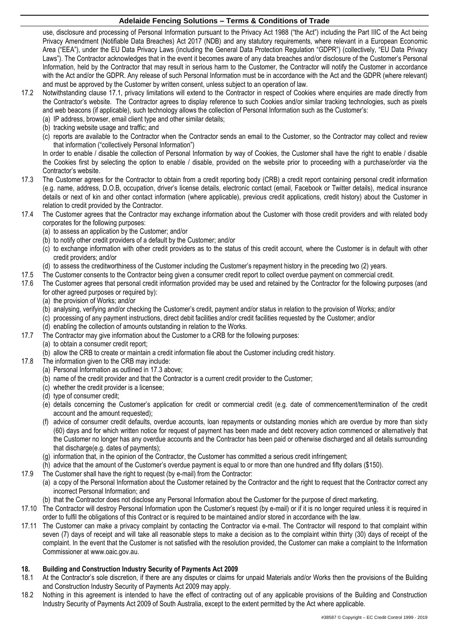use, disclosure and processing of Personal Information pursuant to the Privacy Act 1988 ("the Act") including the Part IIIC of the Act being Privacy Amendment (Notifiable Data Breaches) Act 2017 (NDB) and any statutory requirements, where relevant in a European Economic Area ("EEA"), under the EU Data Privacy Laws (including the General Data Protection Regulation "GDPR") (collectively, "EU Data Privacy Laws"). The Contractor acknowledges that in the event it becomes aware of any data breaches and/or disclosure of the Customer's Personal Information, held by the Contractor that may result in serious harm to the Customer, the Contractor will notify the Customer in accordance with the Act and/or the GDPR. Any release of such Personal Information must be in accordance with the Act and the GDPR (where relevant) and must be approved by the Customer by written consent, unless subject to an operation of law.

- 17.2 Notwithstanding clause [17.1,](#page-4-2) privacy limitations will extend to the Contractor in respect of Cookies where enquiries are made directly from the Contractor's website. The Contractor agrees to display reference to such Cookies and/or similar tracking technologies, such as pixels and web beacons (if applicable), such technology allows the collection of Personal Information such as the Customer's:
	- (a) IP address, browser, email client type and other similar details;
	- (b) tracking website usage and traffic; and
	- (c) reports are available to the Contractor when the Contractor sends an email to the Customer, so the Contractor may collect and review that information ("collectively Personal Information")

In order to enable / disable the collection of Personal Information by way of Cookies, the Customer shall have the right to enable / disable the Cookies first by selecting the option to enable / disable, provided on the website prior to proceeding with a purchase/order via the Contractor's website.

- <span id="page-5-0"></span>17.3 The Customer agrees for the Contractor to obtain from a credit reporting body (CRB) a credit report containing personal credit information (e.g. name, address, D.O.B, occupation, driver's license details, electronic contact (email, Facebook or Twitter details), medical insurance details or next of kin and other contact information (where applicable), previous credit applications, credit history) about the Customer in relation to credit provided by the Contractor.
- 17.4 The Customer agrees that the Contractor may exchange information about the Customer with those credit providers and with related body corporates for the following purposes:
	- (a) to assess an application by the Customer; and/or
	- (b) to notify other credit providers of a default by the Customer; and/or
	- (c) to exchange information with other credit providers as to the status of this credit account, where the Customer is in default with other credit providers; and/or
	- (d) to assess the creditworthiness of the Customer including the Customer's repayment history in the preceding two (2) years.
- 17.5 The Customer consents to the Contractor being given a consumer credit report to collect overdue payment on commercial credit.
- 17.6 The Customer agrees that personal credit information provided may be used and retained by the Contractor for the following purposes (and for other agreed purposes or required by):
	- (a) the provision of Works; and/or
	- (b) analysing, verifying and/or checking the Customer's credit, payment and/or status in relation to the provision of Works; and/or
	- (c) processing of any payment instructions, direct debit facilities and/or credit facilities requested by the Customer; and/or
	- (d) enabling the collection of amounts outstanding in relation to the Works.
- 17.7 The Contractor may give information about the Customer to a CRB for the following purposes:
	- (a) to obtain a consumer credit report;
	- (b) allow the CRB to create or maintain a credit information file about the Customer including credit history.
- 17.8 The information given to the CRB may include:
	- (a) Personal Information as outlined i[n 17.3](#page-5-0) above;
	- (b) name of the credit provider and that the Contractor is a current credit provider to the Customer;
	- (c) whether the credit provider is a licensee;
	- (d) type of consumer credit;
	- (e) details concerning the Customer's application for credit or commercial credit (e.g. date of commencement/termination of the credit account and the amount requested);
	- (f) advice of consumer credit defaults, overdue accounts, loan repayments or outstanding monies which are overdue by more than sixty (60) days and for which written notice for request of payment has been made and debt recovery action commenced or alternatively that the Customer no longer has any overdue accounts and the Contractor has been paid or otherwise discharged and all details surrounding that discharge(e.g. dates of payments);
	- (g) information that, in the opinion of the Contractor, the Customer has committed a serious credit infringement;
	- (h) advice that the amount of the Customer's overdue payment is equal to or more than one hundred and fifty dollars (\$150).
- 17.9 The Customer shall have the right to request (by e-mail) from the Contractor:
	- (a) a copy of the Personal Information about the Customer retained by the Contractor and the right to request that the Contractor correct any incorrect Personal Information; and
	- (b) that the Contractor does not disclose any Personal Information about the Customer for the purpose of direct marketing.
- 17.10 The Contractor will destroy Personal Information upon the Customer's request (by e-mail) or if it is no longer required unless it is required in order to fulfil the obligations of this Contract or is required to be maintained and/or stored in accordance with the law.
- 17.11 The Customer can make a privacy complaint by contacting the Contractor via e-mail. The Contractor will respond to that complaint within seven (7) days of receipt and will take all reasonable steps to make a decision as to the complaint within thirty (30) days of receipt of the complaint. In the event that the Customer is not satisfied with the resolution provided, the Customer can make a complaint to the Information Commissioner at www.oaic.gov.au.

# **18. Building and Construction Industry Security of Payments Act 2009**

- 18.1 At the Contractor's sole discretion, if there are any disputes or claims for unpaid Materials and/or Works then the provisions of the Building and Construction Industry Security of Payments Act 2009 may apply.
- 18.2 Nothing in this agreement is intended to have the effect of contracting out of any applicable provisions of the Building and Construction Industry Security of Payments Act 2009 of South Australia, except to the extent permitted by the Act where applicable.